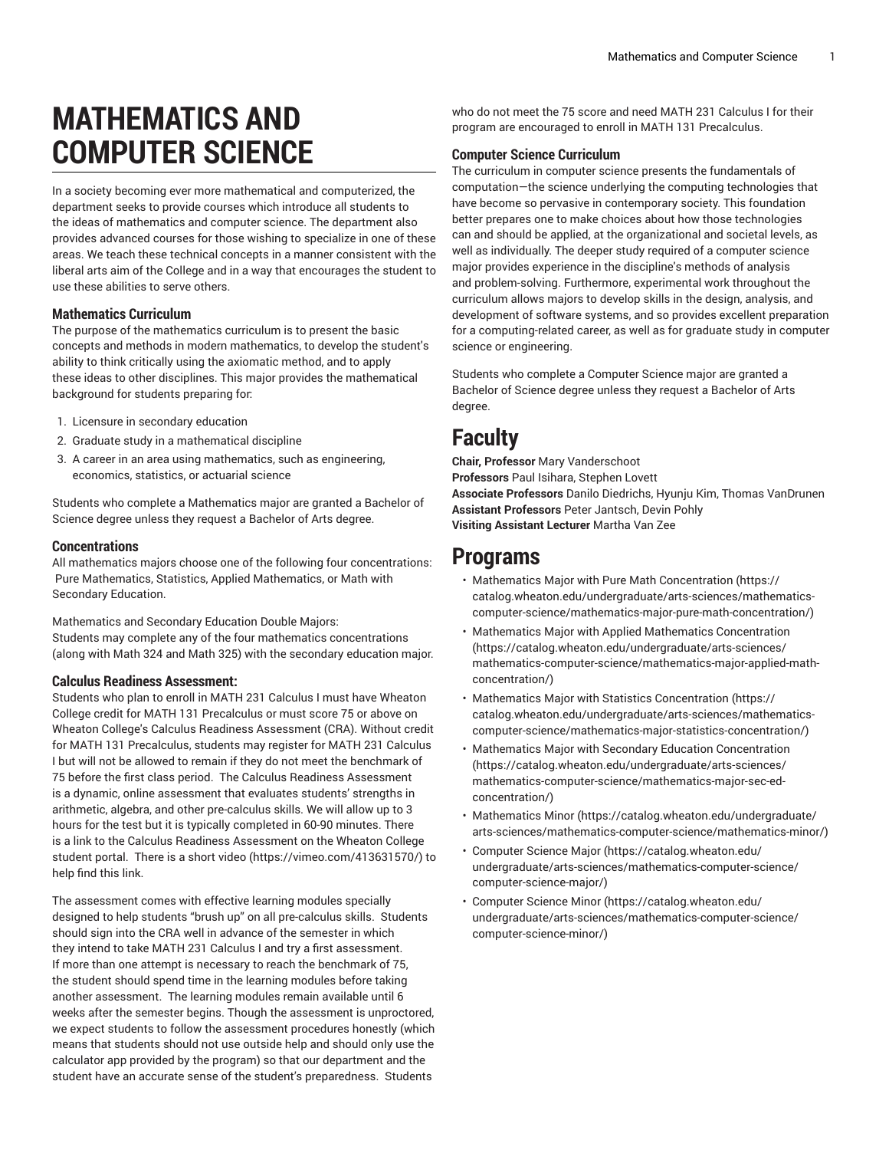# **MATHEMATICS AND COMPUTER SCIENCE**

In a society becoming ever more mathematical and computerized, the department seeks to provide courses which introduce all students to the ideas of mathematics and computer science. The department also provides advanced courses for those wishing to specialize in one of these areas. We teach these technical concepts in a manner consistent with the liberal arts aim of the College and in a way that encourages the student to use these abilities to serve others.

#### **Mathematics Curriculum**

The purpose of the mathematics curriculum is to present the basic concepts and methods in modern mathematics, to develop the student's ability to think critically using the axiomatic method, and to apply these ideas to other disciplines. This major provides the mathematical background for students preparing for:

- 1. Licensure in secondary education
- 2. Graduate study in a mathematical discipline
- 3. A career in an area using mathematics, such as engineering, economics, statistics, or actuarial science

Students who complete a Mathematics major are granted a Bachelor of Science degree unless they request a Bachelor of Arts degree.

#### **Concentrations**

All mathematics majors choose one of the following four concentrations: Pure Mathematics, Statistics, Applied Mathematics, or Math with Secondary Education.

Mathematics and Secondary Education Double Majors: Students may complete any of the four mathematics concentrations (along with Math 324 and Math 325) with the secondary education major.

#### **Calculus Readiness Assessment:**

Students who plan to enroll in MATH 231 Calculus I must have Wheaton College credit for MATH 131 Precalculus or must score 75 or above on Wheaton College's Calculus Readiness Assessment (CRA). Without credit for MATH 131 Precalculus, students may register for MATH 231 Calculus I but will not be allowed to remain if they do not meet the benchmark of 75 before the first class period. The Calculus Readiness Assessment is a dynamic, online assessment that evaluates students' strengths in arithmetic, algebra, and other pre-calculus skills. We will allow up to 3 hours for the test but it is typically completed in 60-90 minutes. There is a link to the Calculus Readiness Assessment on the Wheaton College student portal. There is a short [video \(https://vimeo.com/413631570/\)](https://vimeo.com/413631570/) to help find this link.

The assessment comes with effective learning modules specially designed to help students "brush up" on all pre-calculus skills. Students should sign into the CRA well in advance of the semester in which they intend to take MATH 231 Calculus I and try a first assessment. If more than one attempt is necessary to reach the benchmark of 75, the student should spend time in the learning modules before taking another assessment. The learning modules remain available until 6 weeks after the semester begins. Though the assessment is unproctored, we expect students to follow the assessment procedures honestly (which means that students should not use outside help and should only use the calculator app provided by the program) so that our department and the student have an accurate sense of the student's preparedness. Students

who do not meet the 75 score and need MATH 231 Calculus I for their program are encouraged to enroll in MATH 131 Precalculus.

#### **Computer Science Curriculum**

The curriculum in computer science presents the fundamentals of computation—the science underlying the computing technologies that have become so pervasive in contemporary society. This foundation better prepares one to make choices about how those technologies can and should be applied, at the organizational and societal levels, as well as individually. The deeper study required of a computer science major provides experience in the discipline's methods of analysis and problem-solving. Furthermore, experimental work throughout the curriculum allows majors to develop skills in the design, analysis, and development of software systems, and so provides excellent preparation for a computing-related career, as well as for graduate study in computer science or engineering.

Students who complete a Computer Science major are granted a Bachelor of Science degree unless they request a Bachelor of Arts degree.

### **Faculty**

**Chair, Professor** Mary Vanderschoot **Professors** Paul Isihara, Stephen Lovett **Associate Professors** Danilo Diedrichs, Hyunju Kim, Thomas VanDrunen **Assistant Professors** Peter Jantsch, Devin Pohly **Visiting Assistant Lecturer** Martha Van Zee

### **Programs**

- Mathematics Major with Pure Math [Concentration](https://catalog.wheaton.edu/undergraduate/arts-sciences/mathematics-computer-science/mathematics-major-pure-math-concentration/) ([https://](https://catalog.wheaton.edu/undergraduate/arts-sciences/mathematics-computer-science/mathematics-major-pure-math-concentration/) [catalog.wheaton.edu/undergraduate/arts-sciences/mathematics](https://catalog.wheaton.edu/undergraduate/arts-sciences/mathematics-computer-science/mathematics-major-pure-math-concentration/)[computer-science/mathematics-major-pure-math-concentration/](https://catalog.wheaton.edu/undergraduate/arts-sciences/mathematics-computer-science/mathematics-major-pure-math-concentration/))
- [Mathematics Major with Applied Mathematics Concentration](https://catalog.wheaton.edu/undergraduate/arts-sciences/mathematics-computer-science/mathematics-major-applied-math-concentration/) [\(https://catalog.wheaton.edu/undergraduate/arts-sciences/](https://catalog.wheaton.edu/undergraduate/arts-sciences/mathematics-computer-science/mathematics-major-applied-math-concentration/) [mathematics-computer-science/mathematics-major-applied-math](https://catalog.wheaton.edu/undergraduate/arts-sciences/mathematics-computer-science/mathematics-major-applied-math-concentration/)[concentration/\)](https://catalog.wheaton.edu/undergraduate/arts-sciences/mathematics-computer-science/mathematics-major-applied-math-concentration/)
- [Mathematics Major with Statistics Concentration](https://catalog.wheaton.edu/undergraduate/arts-sciences/mathematics-computer-science/mathematics-major-statistics-concentration/) ([https://](https://catalog.wheaton.edu/undergraduate/arts-sciences/mathematics-computer-science/mathematics-major-statistics-concentration/) [catalog.wheaton.edu/undergraduate/arts-sciences/mathematics](https://catalog.wheaton.edu/undergraduate/arts-sciences/mathematics-computer-science/mathematics-major-statistics-concentration/)[computer-science/mathematics-major-statistics-concentration/\)](https://catalog.wheaton.edu/undergraduate/arts-sciences/mathematics-computer-science/mathematics-major-statistics-concentration/)
- Mathematics Major with Secondary Education [Concentration](https://catalog.wheaton.edu/undergraduate/arts-sciences/mathematics-computer-science/mathematics-major-sec-ed-concentration/) [\(https://catalog.wheaton.edu/undergraduate/arts-sciences/](https://catalog.wheaton.edu/undergraduate/arts-sciences/mathematics-computer-science/mathematics-major-sec-ed-concentration/) [mathematics-computer-science/mathematics-major-sec-ed](https://catalog.wheaton.edu/undergraduate/arts-sciences/mathematics-computer-science/mathematics-major-sec-ed-concentration/)[concentration/\)](https://catalog.wheaton.edu/undergraduate/arts-sciences/mathematics-computer-science/mathematics-major-sec-ed-concentration/)
- [Mathematics Minor \(https://catalog.wheaton.edu/undergraduate/](https://catalog.wheaton.edu/undergraduate/arts-sciences/mathematics-computer-science/mathematics-minor/) [arts-sciences/mathematics-computer-science/mathematics-minor/](https://catalog.wheaton.edu/undergraduate/arts-sciences/mathematics-computer-science/mathematics-minor/))
- [Computer Science Major](https://catalog.wheaton.edu/undergraduate/arts-sciences/mathematics-computer-science/computer-science-major/) ([https://catalog.wheaton.edu/](https://catalog.wheaton.edu/undergraduate/arts-sciences/mathematics-computer-science/computer-science-major/) [undergraduate/arts-sciences/mathematics-computer-science/](https://catalog.wheaton.edu/undergraduate/arts-sciences/mathematics-computer-science/computer-science-major/) [computer-science-major/](https://catalog.wheaton.edu/undergraduate/arts-sciences/mathematics-computer-science/computer-science-major/))
- [Computer Science Minor](https://catalog.wheaton.edu/undergraduate/arts-sciences/mathematics-computer-science/computer-science-minor/) ([https://catalog.wheaton.edu/](https://catalog.wheaton.edu/undergraduate/arts-sciences/mathematics-computer-science/computer-science-minor/) [undergraduate/arts-sciences/mathematics-computer-science/](https://catalog.wheaton.edu/undergraduate/arts-sciences/mathematics-computer-science/computer-science-minor/) [computer-science-minor/](https://catalog.wheaton.edu/undergraduate/arts-sciences/mathematics-computer-science/computer-science-minor/))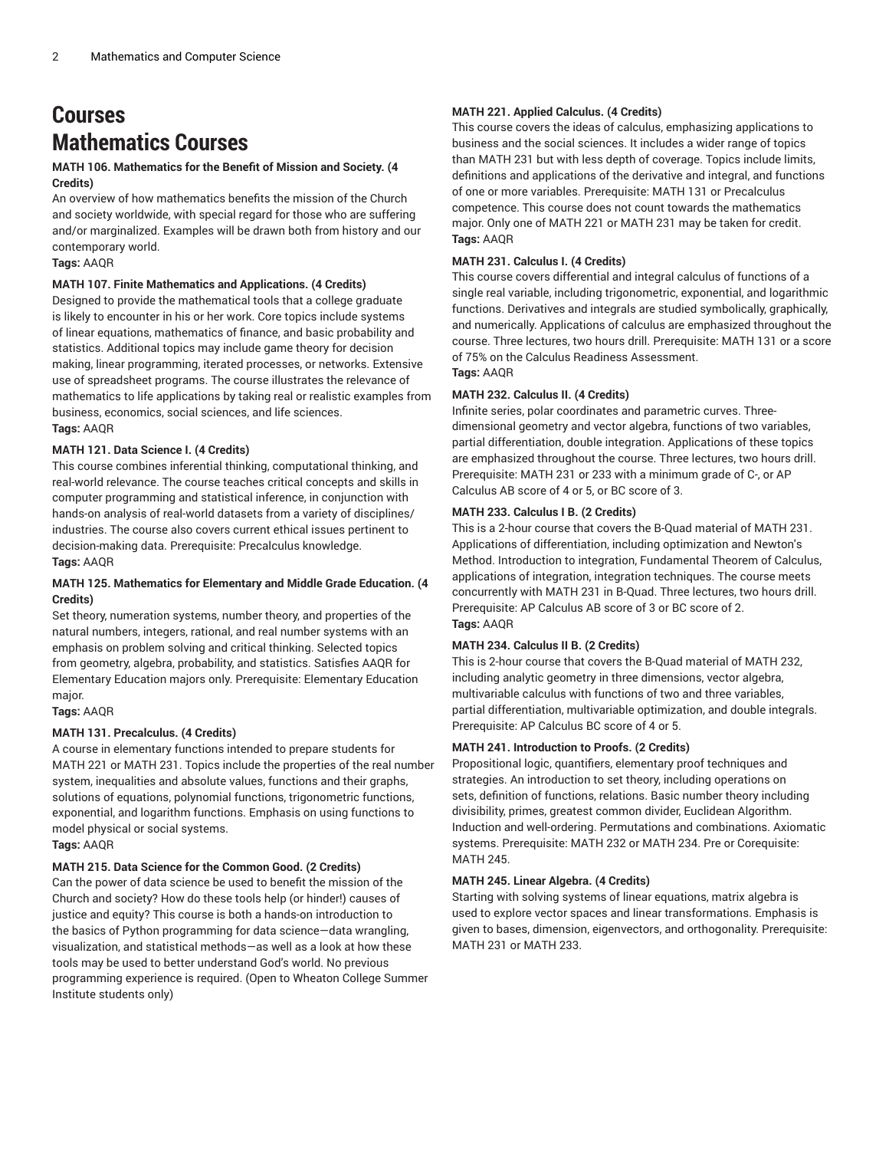## **Courses Mathematics Courses**

#### **MATH 106. Mathematics for the Benefit of Mission and Society. (4 Credits)**

An overview of how mathematics benefits the mission of the Church and society worldwide, with special regard for those who are suffering and/or marginalized. Examples will be drawn both from history and our contemporary world.

**Tags:** AAQR

#### **MATH 107. Finite Mathematics and Applications. (4 Credits)**

Designed to provide the mathematical tools that a college graduate is likely to encounter in his or her work. Core topics include systems of linear equations, mathematics of finance, and basic probability and statistics. Additional topics may include game theory for decision making, linear programming, iterated processes, or networks. Extensive use of spreadsheet programs. The course illustrates the relevance of mathematics to life applications by taking real or realistic examples from business, economics, social sciences, and life sciences. **Tags:** AAQR

#### **MATH 121. Data Science I. (4 Credits)**

This course combines inferential thinking, computational thinking, and real-world relevance. The course teaches critical concepts and skills in computer programming and statistical inference, in conjunction with hands-on analysis of real-world datasets from a variety of disciplines/ industries. The course also covers current ethical issues pertinent to decision-making data. Prerequisite: Precalculus knowledge. **Tags:** AAQR

#### **MATH 125. Mathematics for Elementary and Middle Grade Education. (4 Credits)**

Set theory, numeration systems, number theory, and properties of the natural numbers, integers, rational, and real number systems with an emphasis on problem solving and critical thinking. Selected topics from geometry, algebra, probability, and statistics. Satisfies AAQR for Elementary Education majors only. Prerequisite: Elementary Education major.

#### **Tags:** AAQR

#### **MATH 131. Precalculus. (4 Credits)**

A course in elementary functions intended to prepare students for MATH 221 or MATH 231. Topics include the properties of the real number system, inequalities and absolute values, functions and their graphs, solutions of equations, polynomial functions, trigonometric functions, exponential, and logarithm functions. Emphasis on using functions to model physical or social systems.

**Tags:** AAQR

#### **MATH 215. Data Science for the Common Good. (2 Credits)**

Can the power of data science be used to benefit the mission of the Church and society? How do these tools help (or hinder!) causes of justice and equity? This course is both a hands-on introduction to the basics of Python programming for data science—data wrangling, visualization, and statistical methods—as well as a look at how these tools may be used to better understand God's world. No previous programming experience is required. (Open to Wheaton College Summer Institute students only)

#### **MATH 221. Applied Calculus. (4 Credits)**

This course covers the ideas of calculus, emphasizing applications to business and the social sciences. It includes a wider range of topics than MATH 231 but with less depth of coverage. Topics include limits, definitions and applications of the derivative and integral, and functions of one or more variables. Prerequisite: MATH 131 or Precalculus competence. This course does not count towards the mathematics major. Only one of MATH 221 or MATH 231 may be taken for credit. **Tags:** AAQR

#### **MATH 231. Calculus I. (4 Credits)**

This course covers differential and integral calculus of functions of a single real variable, including trigonometric, exponential, and logarithmic functions. Derivatives and integrals are studied symbolically, graphically, and numerically. Applications of calculus are emphasized throughout the course. Three lectures, two hours drill. Prerequisite: MATH 131 or a score of 75% on the Calculus Readiness Assessment.

### **Tags:** AAQR

#### **MATH 232. Calculus II. (4 Credits)**

Infinite series, polar coordinates and parametric curves. Threedimensional geometry and vector algebra, functions of two variables, partial differentiation, double integration. Applications of these topics are emphasized throughout the course. Three lectures, two hours drill. Prerequisite: MATH 231 or 233 with a minimum grade of C-, or AP Calculus AB score of 4 or 5, or BC score of 3.

#### **MATH 233. Calculus I B. (2 Credits)**

This is a 2-hour course that covers the B-Quad material of MATH 231. Applications of differentiation, including optimization and Newton's Method. Introduction to integration, Fundamental Theorem of Calculus, applications of integration, integration techniques. The course meets concurrently with MATH 231 in B-Quad. Three lectures, two hours drill. Prerequisite: AP Calculus AB score of 3 or BC score of 2. **Tags:** AAQR

#### **MATH 234. Calculus II B. (2 Credits)**

This is 2-hour course that covers the B-Quad material of MATH 232, including analytic geometry in three dimensions, vector algebra, multivariable calculus with functions of two and three variables, partial differentiation, multivariable optimization, and double integrals. Prerequisite: AP Calculus BC score of 4 or 5.

#### **MATH 241. Introduction to Proofs. (2 Credits)**

Propositional logic, quantifiers, elementary proof techniques and strategies. An introduction to set theory, including operations on sets, definition of functions, relations. Basic number theory including divisibility, primes, greatest common divider, Euclidean Algorithm. Induction and well-ordering. Permutations and combinations. Axiomatic systems. Prerequisite: MATH 232 or MATH 234. Pre or Corequisite: MATH 245.

#### **MATH 245. Linear Algebra. (4 Credits)**

Starting with solving systems of linear equations, matrix algebra is used to explore vector spaces and linear transformations. Emphasis is given to bases, dimension, eigenvectors, and orthogonality. Prerequisite: MATH 231 or MATH 233.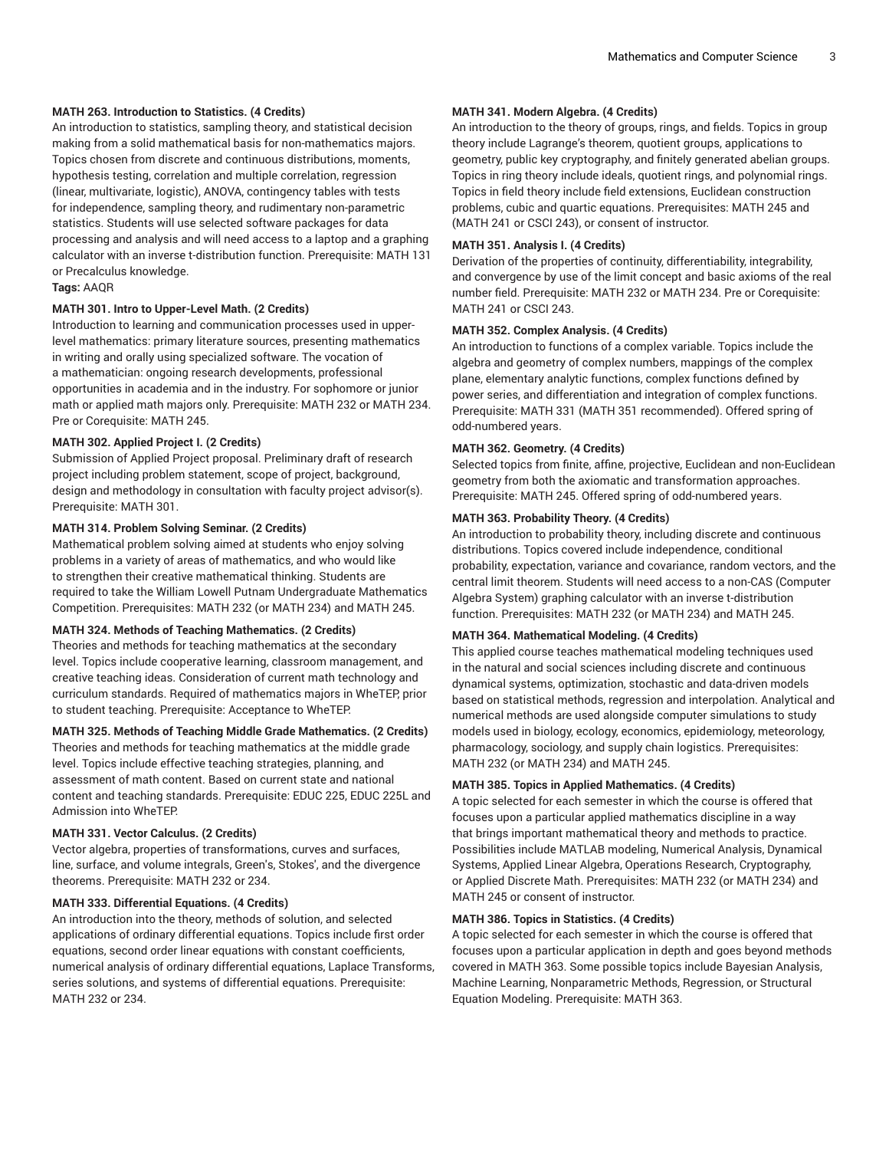#### **MATH 263. Introduction to Statistics. (4 Credits)**

An introduction to statistics, sampling theory, and statistical decision making from a solid mathematical basis for non-mathematics majors. Topics chosen from discrete and continuous distributions, moments, hypothesis testing, correlation and multiple correlation, regression (linear, multivariate, logistic), ANOVA, contingency tables with tests for independence, sampling theory, and rudimentary non-parametric statistics. Students will use selected software packages for data processing and analysis and will need access to a laptop and a graphing calculator with an inverse t-distribution function. Prerequisite: MATH 131 or Precalculus knowledge.

#### **Tags:** AAQR

#### **MATH 301. Intro to Upper-Level Math. (2 Credits)**

Introduction to learning and communication processes used in upperlevel mathematics: primary literature sources, presenting mathematics in writing and orally using specialized software. The vocation of a mathematician: ongoing research developments, professional opportunities in academia and in the industry. For sophomore or junior math or applied math majors only. Prerequisite: MATH 232 or MATH 234. Pre or Corequisite: MATH 245.

#### **MATH 302. Applied Project I. (2 Credits)**

Submission of Applied Project proposal. Preliminary draft of research project including problem statement, scope of project, background, design and methodology in consultation with faculty project advisor(s). Prerequisite: MATH 301.

#### **MATH 314. Problem Solving Seminar. (2 Credits)**

Mathematical problem solving aimed at students who enjoy solving problems in a variety of areas of mathematics, and who would like to strengthen their creative mathematical thinking. Students are required to take the William Lowell Putnam Undergraduate Mathematics Competition. Prerequisites: MATH 232 (or MATH 234) and MATH 245.

#### **MATH 324. Methods of Teaching Mathematics. (2 Credits)**

Theories and methods for teaching mathematics at the secondary level. Topics include cooperative learning, classroom management, and creative teaching ideas. Consideration of current math technology and curriculum standards. Required of mathematics majors in WheTEP, prior to student teaching. Prerequisite: Acceptance to WheTEP.

#### **MATH 325. Methods of Teaching Middle Grade Mathematics. (2 Credits)**

Theories and methods for teaching mathematics at the middle grade level. Topics include effective teaching strategies, planning, and assessment of math content. Based on current state and national content and teaching standards. Prerequisite: EDUC 225, EDUC 225L and Admission into WheTEP.

#### **MATH 331. Vector Calculus. (2 Credits)**

Vector algebra, properties of transformations, curves and surfaces, line, surface, and volume integrals, Green's, Stokes', and the divergence theorems. Prerequisite: MATH 232 or 234.

#### **MATH 333. Differential Equations. (4 Credits)**

An introduction into the theory, methods of solution, and selected applications of ordinary differential equations. Topics include first order equations, second order linear equations with constant coefficients, numerical analysis of ordinary differential equations, Laplace Transforms, series solutions, and systems of differential equations. Prerequisite: MATH 232 or 234.

#### **MATH 341. Modern Algebra. (4 Credits)**

An introduction to the theory of groups, rings, and fields. Topics in group theory include Lagrange's theorem, quotient groups, applications to geometry, public key cryptography, and finitely generated abelian groups. Topics in ring theory include ideals, quotient rings, and polynomial rings. Topics in field theory include field extensions, Euclidean construction problems, cubic and quartic equations. Prerequisites: MATH 245 and (MATH 241 or CSCI 243), or consent of instructor.

#### **MATH 351. Analysis I. (4 Credits)**

Derivation of the properties of continuity, differentiability, integrability, and convergence by use of the limit concept and basic axioms of the real number field. Prerequisite: MATH 232 or MATH 234. Pre or Corequisite: MATH 241 or CSCI 243.

#### **MATH 352. Complex Analysis. (4 Credits)**

An introduction to functions of a complex variable. Topics include the algebra and geometry of complex numbers, mappings of the complex plane, elementary analytic functions, complex functions defined by power series, and differentiation and integration of complex functions. Prerequisite: MATH 331 (MATH 351 recommended). Offered spring of odd-numbered years.

#### **MATH 362. Geometry. (4 Credits)**

Selected topics from finite, affine, projective, Euclidean and non-Euclidean geometry from both the axiomatic and transformation approaches. Prerequisite: MATH 245. Offered spring of odd-numbered years.

#### **MATH 363. Probability Theory. (4 Credits)**

An introduction to probability theory, including discrete and continuous distributions. Topics covered include independence, conditional probability, expectation, variance and covariance, random vectors, and the central limit theorem. Students will need access to a non-CAS (Computer Algebra System) graphing calculator with an inverse t-distribution function. Prerequisites: MATH 232 (or MATH 234) and MATH 245.

#### **MATH 364. Mathematical Modeling. (4 Credits)**

This applied course teaches mathematical modeling techniques used in the natural and social sciences including discrete and continuous dynamical systems, optimization, stochastic and data-driven models based on statistical methods, regression and interpolation. Analytical and numerical methods are used alongside computer simulations to study models used in biology, ecology, economics, epidemiology, meteorology, pharmacology, sociology, and supply chain logistics. Prerequisites: MATH 232 (or MATH 234) and MATH 245.

#### **MATH 385. Topics in Applied Mathematics. (4 Credits)**

A topic selected for each semester in which the course is offered that focuses upon a particular applied mathematics discipline in a way that brings important mathematical theory and methods to practice. Possibilities include MATLAB modeling, Numerical Analysis, Dynamical Systems, Applied Linear Algebra, Operations Research, Cryptography, or Applied Discrete Math. Prerequisites: MATH 232 (or MATH 234) and MATH 245 or consent of instructor.

#### **MATH 386. Topics in Statistics. (4 Credits)**

A topic selected for each semester in which the course is offered that focuses upon a particular application in depth and goes beyond methods covered in MATH 363. Some possible topics include Bayesian Analysis, Machine Learning, Nonparametric Methods, Regression, or Structural Equation Modeling. Prerequisite: MATH 363.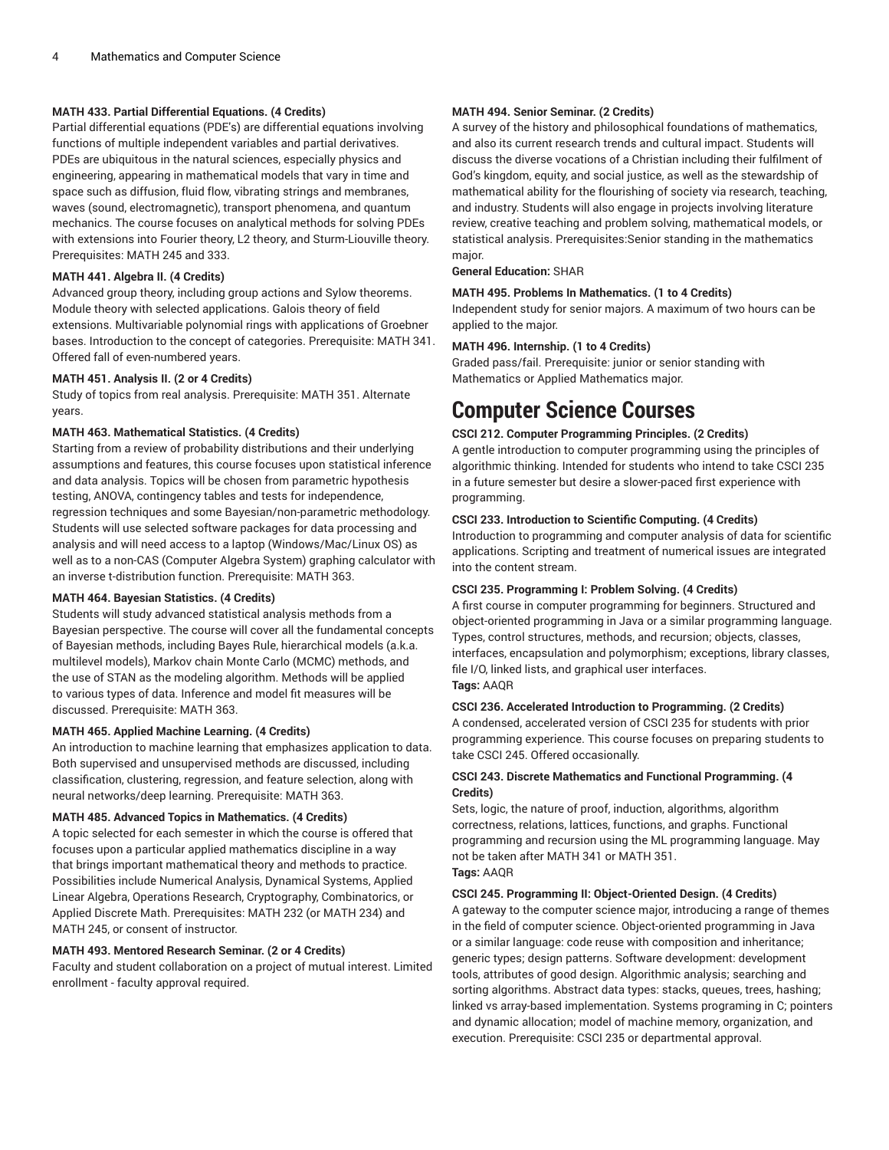#### **MATH 433. Partial Differential Equations. (4 Credits)**

Partial differential equations (PDE's) are differential equations involving functions of multiple independent variables and partial derivatives. PDEs are ubiquitous in the natural sciences, especially physics and engineering, appearing in mathematical models that vary in time and space such as diffusion, fluid flow, vibrating strings and membranes, waves (sound, electromagnetic), transport phenomena, and quantum mechanics. The course focuses on analytical methods for solving PDEs with extensions into Fourier theory, L2 theory, and Sturm-Liouville theory. Prerequisites: MATH 245 and 333.

#### **MATH 441. Algebra II. (4 Credits)**

Advanced group theory, including group actions and Sylow theorems. Module theory with selected applications. Galois theory of field extensions. Multivariable polynomial rings with applications of Groebner bases. Introduction to the concept of categories. Prerequisite: MATH 341. Offered fall of even-numbered years.

#### **MATH 451. Analysis II. (2 or 4 Credits)**

Study of topics from real analysis. Prerequisite: MATH 351. Alternate years.

#### **MATH 463. Mathematical Statistics. (4 Credits)**

Starting from a review of probability distributions and their underlying assumptions and features, this course focuses upon statistical inference and data analysis. Topics will be chosen from parametric hypothesis testing, ANOVA, contingency tables and tests for independence, regression techniques and some Bayesian/non-parametric methodology. Students will use selected software packages for data processing and analysis and will need access to a laptop (Windows/Mac/Linux OS) as well as to a non-CAS (Computer Algebra System) graphing calculator with an inverse t-distribution function. Prerequisite: MATH 363.

#### **MATH 464. Bayesian Statistics. (4 Credits)**

Students will study advanced statistical analysis methods from a Bayesian perspective. The course will cover all the fundamental concepts of Bayesian methods, including Bayes Rule, hierarchical models (a.k.a. multilevel models), Markov chain Monte Carlo (MCMC) methods, and the use of STAN as the modeling algorithm. Methods will be applied to various types of data. Inference and model fit measures will be discussed. Prerequisite: MATH 363.

#### **MATH 465. Applied Machine Learning. (4 Credits)**

An introduction to machine learning that emphasizes application to data. Both supervised and unsupervised methods are discussed, including classification, clustering, regression, and feature selection, along with neural networks/deep learning. Prerequisite: MATH 363.

#### **MATH 485. Advanced Topics in Mathematics. (4 Credits)**

A topic selected for each semester in which the course is offered that focuses upon a particular applied mathematics discipline in a way that brings important mathematical theory and methods to practice. Possibilities include Numerical Analysis, Dynamical Systems, Applied Linear Algebra, Operations Research, Cryptography, Combinatorics, or Applied Discrete Math. Prerequisites: MATH 232 (or MATH 234) and MATH 245, or consent of instructor.

#### **MATH 493. Mentored Research Seminar. (2 or 4 Credits)**

Faculty and student collaboration on a project of mutual interest. Limited enrollment - faculty approval required.

#### **MATH 494. Senior Seminar. (2 Credits)**

A survey of the history and philosophical foundations of mathematics, and also its current research trends and cultural impact. Students will discuss the diverse vocations of a Christian including their fulfilment of God's kingdom, equity, and social justice, as well as the stewardship of mathematical ability for the flourishing of society via research, teaching, and industry. Students will also engage in projects involving literature review, creative teaching and problem solving, mathematical models, or statistical analysis. Prerequisites:Senior standing in the mathematics major.

#### **General Education:** SHAR

#### **MATH 495. Problems In Mathematics. (1 to 4 Credits)**

Independent study for senior majors. A maximum of two hours can be applied to the major.

#### **MATH 496. Internship. (1 to 4 Credits)**

Graded pass/fail. Prerequisite: junior or senior standing with Mathematics or Applied Mathematics major.

### **Computer Science Courses**

#### **CSCI 212. Computer Programming Principles. (2 Credits)**

A gentle introduction to computer programming using the principles of algorithmic thinking. Intended for students who intend to take CSCI 235 in a future semester but desire a slower-paced first experience with programming.

#### **CSCI 233. Introduction to Scientific Computing. (4 Credits)**

Introduction to programming and computer analysis of data for scientific applications. Scripting and treatment of numerical issues are integrated into the content stream.

#### **CSCI 235. Programming I: Problem Solving. (4 Credits)**

A first course in computer programming for beginners. Structured and object-oriented programming in Java or a similar programming language. Types, control structures, methods, and recursion; objects, classes, interfaces, encapsulation and polymorphism; exceptions, library classes, file I/O, linked lists, and graphical user interfaces. **Tags:** AAQR

#### **CSCI 236. Accelerated Introduction to Programming. (2 Credits)**

A condensed, accelerated version of CSCI 235 for students with prior programming experience. This course focuses on preparing students to take CSCI 245. Offered occasionally.

#### **CSCI 243. Discrete Mathematics and Functional Programming. (4 Credits)**

Sets, logic, the nature of proof, induction, algorithms, algorithm correctness, relations, lattices, functions, and graphs. Functional programming and recursion using the ML programming language. May not be taken after MATH 341 or MATH 351. **Tags:** AAQR

### **CSCI 245. Programming II: Object-Oriented Design. (4 Credits)**

A gateway to the computer science major, introducing a range of themes in the field of computer science. Object-oriented programming in Java or a similar language: code reuse with composition and inheritance; generic types; design patterns. Software development: development tools, attributes of good design. Algorithmic analysis; searching and sorting algorithms. Abstract data types: stacks, queues, trees, hashing; linked vs array-based implementation. Systems programing in C; pointers and dynamic allocation; model of machine memory, organization, and execution. Prerequisite: CSCI 235 or departmental approval.